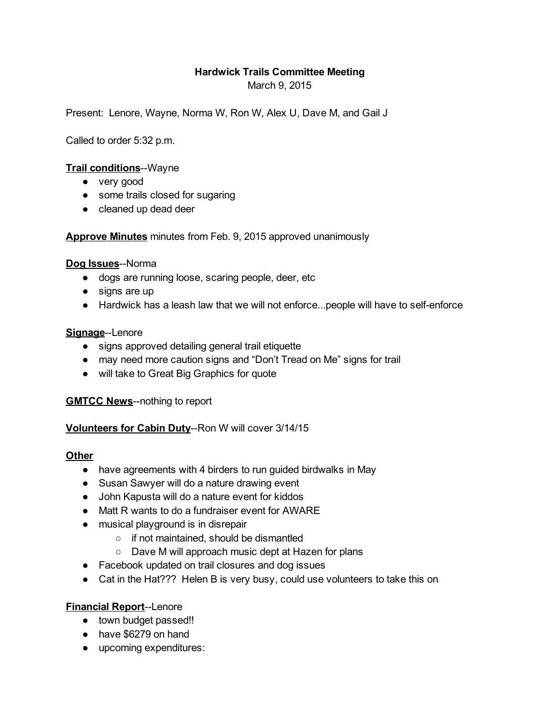# Hardwick Trails Committee Meeting

March 9, 2015

Present: Lenore, Wayne, Norma W, Ron W, Alex U, Dave M, and Gail J

Called to order 5:32 p.m.

## Trail conditions--Wayne

- very good
- some trails closed for sugaring
- cleaned up dead deer

Approve Minutes minutes from Feb. 9, 2015 approved unanimously

### Dog Issues--Norma

- dogs are running loose, scaring people, deer, etc
- signs are up
- Hardwick has a leash law that we will not enforce...people will have to self-enforce

#### Signage--Lenore

- signs approved detailing general trail etiquette
- may need more caution signs and "Don't Tread on Me" signs for trail
- will take to Great Big Graphics for quote

**GMTCC News--nothing to report** 

Volunteers for Cabin Duty--Ron W will cover 3/14/15

#### **Other**

- have agreements with 4 birders to run guided birdwalks in May
- Susan Sawyer will do a nature drawing event
- John Kapusta will do a nature event for kiddos
- Matt R wants to do a fundraiser event for AWARE
- musical playground is in disrepair
	- if not maintained, should be dismantled
	- Dave M will approach music dept at Hazen for plans
- Facebook updated on trail closures and dog issues
- Cat in the Hat??? Helen B is very busy, could use volunteers to take this on

# Financial Report--Lenore

- town budget passed!!
- have \$6279 on hand
- upcoming expenditures: